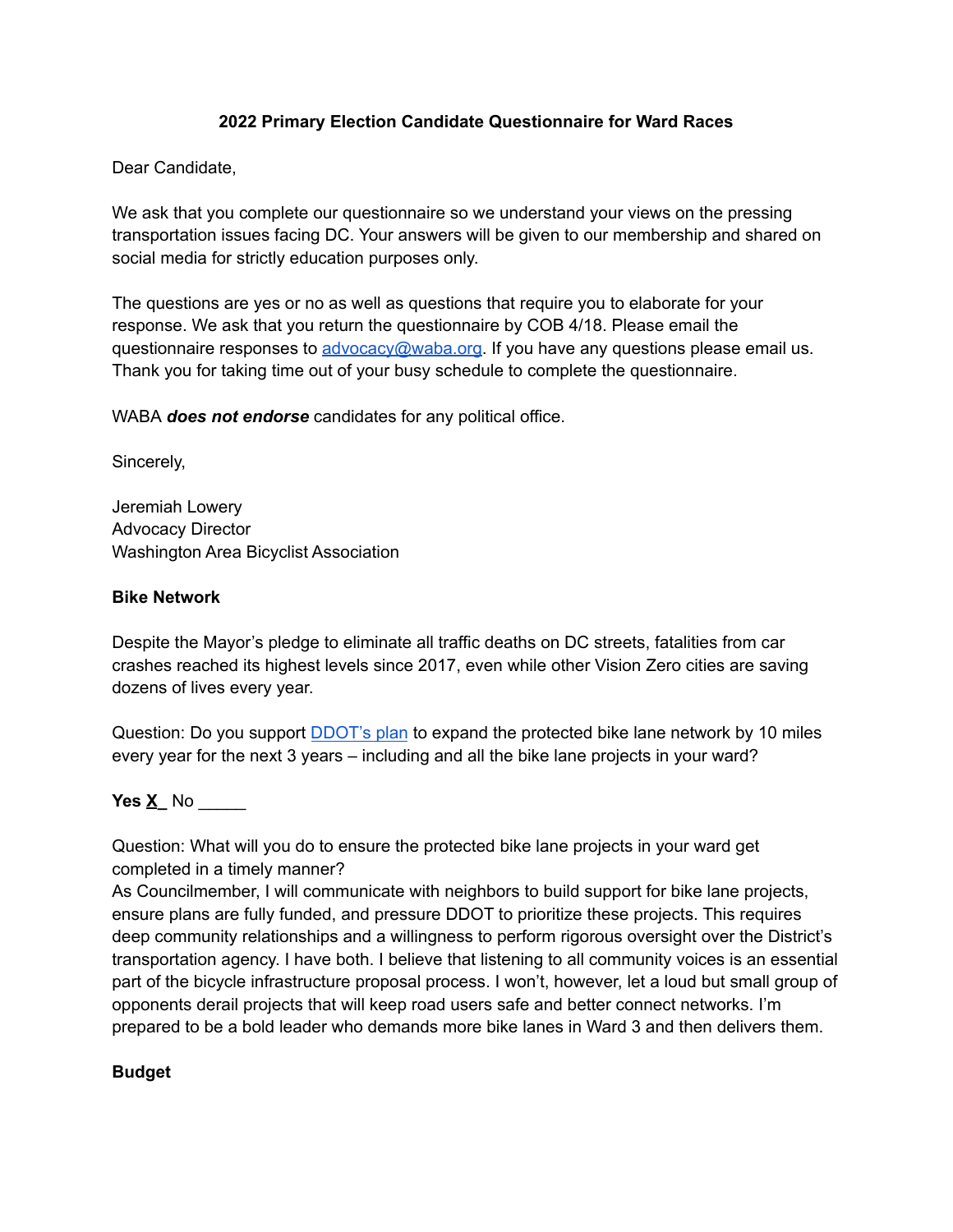### **2022 Primary Election Candidate Questionnaire for Ward Races**

Dear Candidate,

We ask that you complete our questionnaire so we understand your views on the pressing transportation issues facing DC. Your answers will be given to our membership and shared on social media for strictly education purposes only.

The questions are yes or no as well as questions that require you to elaborate for your response. We ask that you return the questionnaire by COB 4/18. Please email the questionnaire responses to [advocacy@waba.org.](mailto:jeremiah.lowery@waba.org) If you have any questions please email us. Thank you for taking time out of your busy schedule to complete the questionnaire.

WABA *does not endorse* candidates for any political office.

Sincerely,

Jeremiah Lowery Advocacy Director Washington Area Bicyclist Association

#### **Bike Network**

Despite the Mayor's pledge to eliminate all traffic deaths on DC streets, fatalities from car crashes reached its highest levels since 2017, even while other Vision Zero cities are saving dozens of lives every year.

Question: Do you support [DDOT's plan](https://ddot.dc.gov/page/bicycle-lanes) to expand the protected bike lane network by 10 miles every year for the next 3 years – including and all the bike lane projects in your ward?

**Yes X\_** No \_\_\_\_\_

Question: What will you do to ensure the protected bike lane projects in your ward get completed in a timely manner?

As Councilmember, I will communicate with neighbors to build support for bike lane projects, ensure plans are fully funded, and pressure DDOT to prioritize these projects. This requires deep community relationships and a willingness to perform rigorous oversight over the District's transportation agency. I have both. I believe that listening to all community voices is an essential part of the bicycle infrastructure proposal process. I won't, however, let a loud but small group of opponents derail projects that will keep road users safe and better connect networks. I'm prepared to be a bold leader who demands more bike lanes in Ward 3 and then delivers them.

#### **Budget**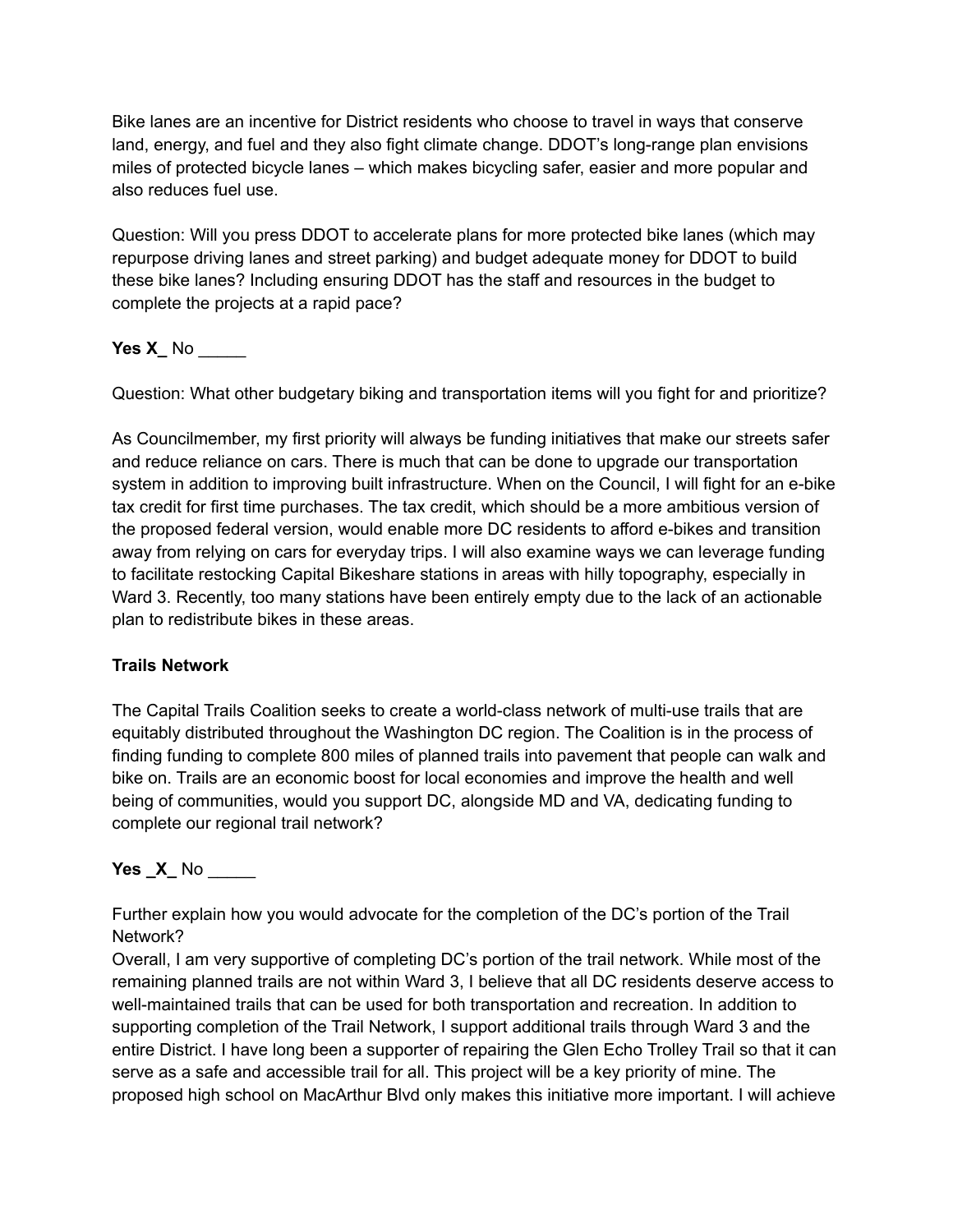Bike lanes are an incentive for District residents who choose to travel in ways that conserve land, energy, and fuel and they also fight climate change. DDOT's long-range plan envisions miles of protected bicycle lanes – which makes bicycling safer, easier and more popular and also reduces fuel use.

Question: Will you press DDOT to accelerate plans for more protected bike lanes (which may repurpose driving lanes and street parking) and budget adequate money for DDOT to build these bike lanes? Including ensuring DDOT has the staff and resources in the budget to complete the projects at a rapid pace?

**Yes X\_** No \_\_\_\_\_

Question: What other budgetary biking and transportation items will you fight for and prioritize?

As Councilmember, my first priority will always be funding initiatives that make our streets safer and reduce reliance on cars. There is much that can be done to upgrade our transportation system in addition to improving built infrastructure. When on the Council, I will fight for an e-bike tax credit for first time purchases. The tax credit, which should be a more ambitious version of the proposed federal version, would enable more DC residents to afford e-bikes and transition away from relying on cars for everyday trips. I will also examine ways we can leverage funding to facilitate restocking Capital Bikeshare stations in areas with hilly topography, especially in Ward 3. Recently, too many stations have been entirely empty due to the lack of an actionable plan to redistribute bikes in these areas.

## **Trails Network**

The Capital Trails Coalition seeks to create a world-class network of multi-use trails that are equitably distributed throughout the Washington DC region. The Coalition is in the process of finding funding to complete 800 miles of planned trails into pavement that people can walk and bike on. Trails are an economic boost for local economies and improve the health and well being of communities, would you support DC, alongside MD and VA, dedicating funding to complete our regional trail network?

**Yes** <u>\_X</u>\_ No \_\_\_\_\_

Further explain how you would advocate for the completion of the DC's portion of the Trail Network?

Overall, I am very supportive of completing DC's portion of the trail network. While most of the remaining planned trails are not within Ward 3, I believe that all DC residents deserve access to well-maintained trails that can be used for both transportation and recreation. In addition to supporting completion of the Trail Network, I support additional trails through Ward 3 and the entire District. I have long been a supporter of repairing the Glen Echo Trolley Trail so that it can serve as a safe and accessible trail for all. This project will be a key priority of mine. The proposed high school on MacArthur Blvd only makes this initiative more important. I will achieve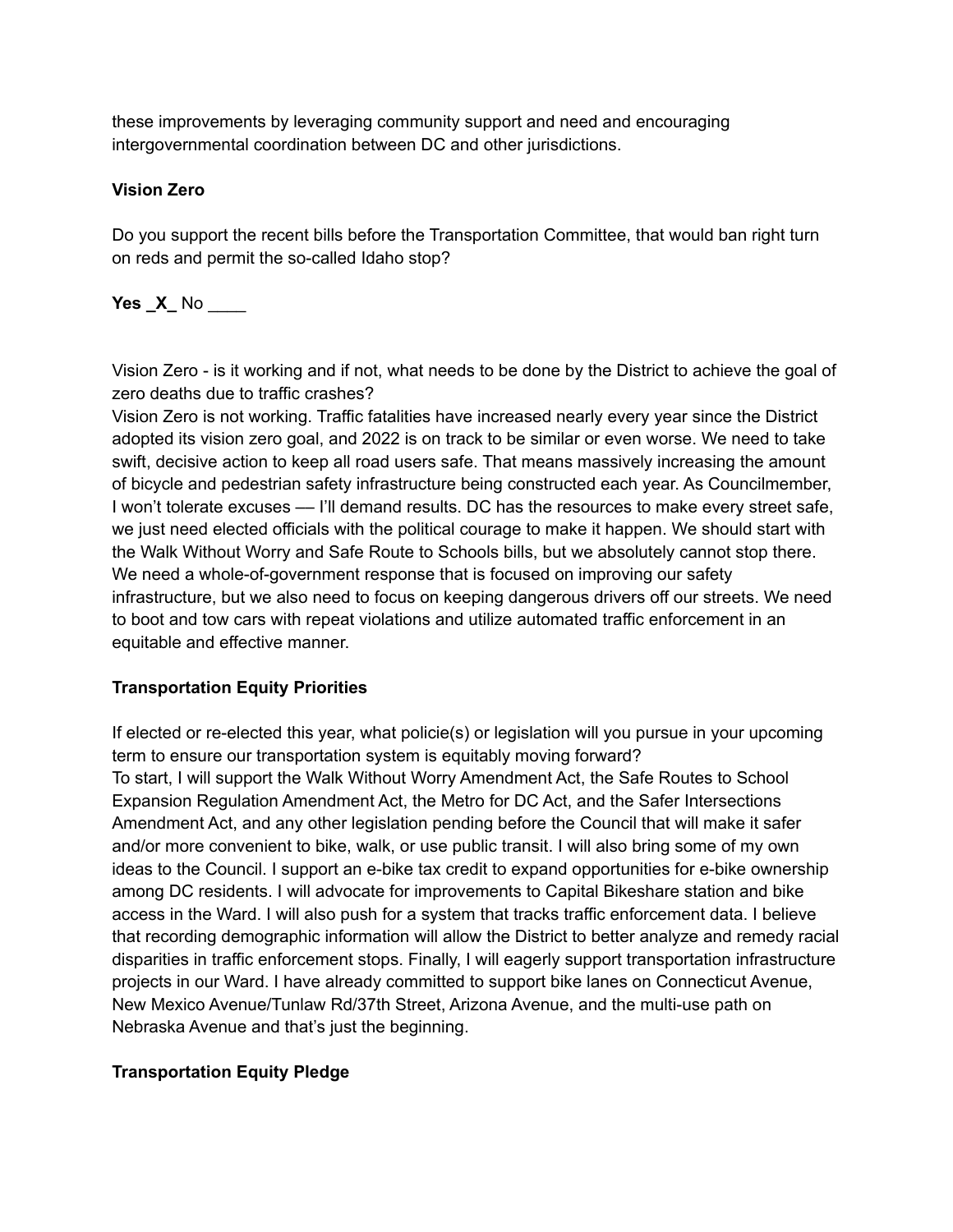these improvements by leveraging community support and need and encouraging intergovernmental coordination between DC and other jurisdictions.

# **Vision Zero**

Do you support the recent bills before the Transportation Committee, that would ban right turn on reds and permit the so-called Idaho stop?

# **Yes \_X\_** No \_\_\_\_

Vision Zero - is it working and if not, what needs to be done by the District to achieve the goal of zero deaths due to traffic crashes?

Vision Zero is not working. Traffic fatalities have increased nearly every year since the District adopted its vision zero goal, and 2022 is on track to be similar or even worse. We need to take swift, decisive action to keep all road users safe. That means massively increasing the amount of bicycle and pedestrian safety infrastructure being constructed each year. As Councilmember, I won't tolerate excuses — I'll demand results. DC has the resources to make every street safe, we just need elected officials with the political courage to make it happen. We should start with the Walk Without Worry and Safe Route to Schools bills, but we absolutely cannot stop there. We need a whole-of-government response that is focused on improving our safety infrastructure, but we also need to focus on keeping dangerous drivers off our streets. We need to boot and tow cars with repeat violations and utilize automated traffic enforcement in an equitable and effective manner.

## **Transportation Equity Priorities**

If elected or re-elected this year, what policie(s) or legislation will you pursue in your upcoming term to ensure our transportation system is equitably moving forward? To start, I will support the Walk Without Worry Amendment Act, the Safe Routes to School Expansion Regulation Amendment Act, the Metro for DC Act, and the Safer Intersections Amendment Act, and any other legislation pending before the Council that will make it safer and/or more convenient to bike, walk, or use public transit. I will also bring some of my own ideas to the Council. I support an e-bike tax credit to expand opportunities for e-bike ownership among DC residents. I will advocate for improvements to Capital Bikeshare station and bike access in the Ward. I will also push for a system that tracks traffic enforcement data. I believe that recording demographic information will allow the District to better analyze and remedy racial disparities in traffic enforcement stops. Finally, I will eagerly support transportation infrastructure projects in our Ward. I have already committed to support bike lanes on Connecticut Avenue, New Mexico Avenue/Tunlaw Rd/37th Street, Arizona Avenue, and the multi-use path on Nebraska Avenue and that's just the beginning.

# **Transportation Equity Pledge**